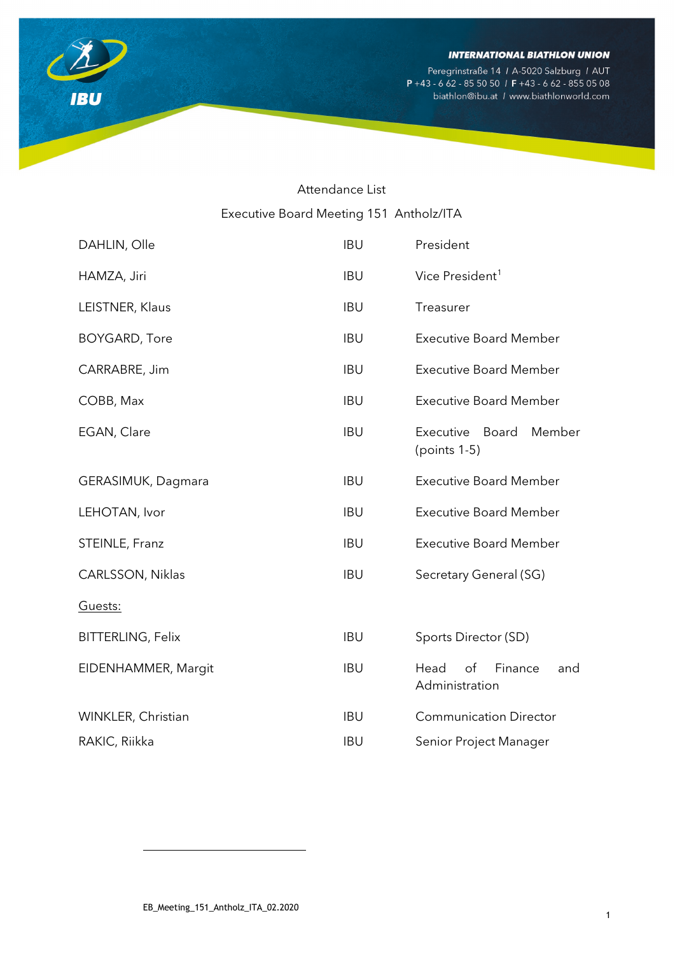

Peregrinstraße 14 / A-5020 Salzburg / AUT<br>P +43 - 6 62 - 85 50 50 / F +43 - 6 62 - 855 05 08 biathlon@ibu.at / www.biathlonworld.com



# Attendance List Executive Board Meeting 151 Antholz/ITA

| DAHLIN, Olle             | <b>IBU</b> | President                                      |
|--------------------------|------------|------------------------------------------------|
| HAMZA, Jiri              | <b>IBU</b> | Vice President <sup>1</sup>                    |
| LEISTNER, Klaus          | <b>IBU</b> | Treasurer                                      |
| <b>BOYGARD, Tore</b>     | <b>IBU</b> | <b>Executive Board Member</b>                  |
| CARRABRE, Jim            | <b>IBU</b> | <b>Executive Board Member</b>                  |
| COBB, Max                | <b>IBU</b> | <b>Executive Board Member</b>                  |
| EGAN, Clare              | <b>IBU</b> | Board<br>Member<br>Executive<br>(points 1-5)   |
| GERASIMUK, Dagmara       | <b>IBU</b> | <b>Executive Board Member</b>                  |
| LEHOTAN, Ivor            | <b>IBU</b> | <b>Executive Board Member</b>                  |
| STEINLE, Franz           | <b>IBU</b> | <b>Executive Board Member</b>                  |
| CARLSSON, Niklas         | <b>IBU</b> | Secretary General (SG)                         |
| Guests:                  |            |                                                |
| <b>BITTERLING, Felix</b> | <b>IBU</b> | Sports Director (SD)                           |
| EIDENHAMMER, Margit      | <b>IBU</b> | Head<br>of<br>Finance<br>and<br>Administration |
| WINKLER, Christian       | <b>IBU</b> | <b>Communication Director</b>                  |
| RAKIC, Riikka            | <b>IBU</b> | Senior Project Manager                         |

<span id="page-0-0"></span>l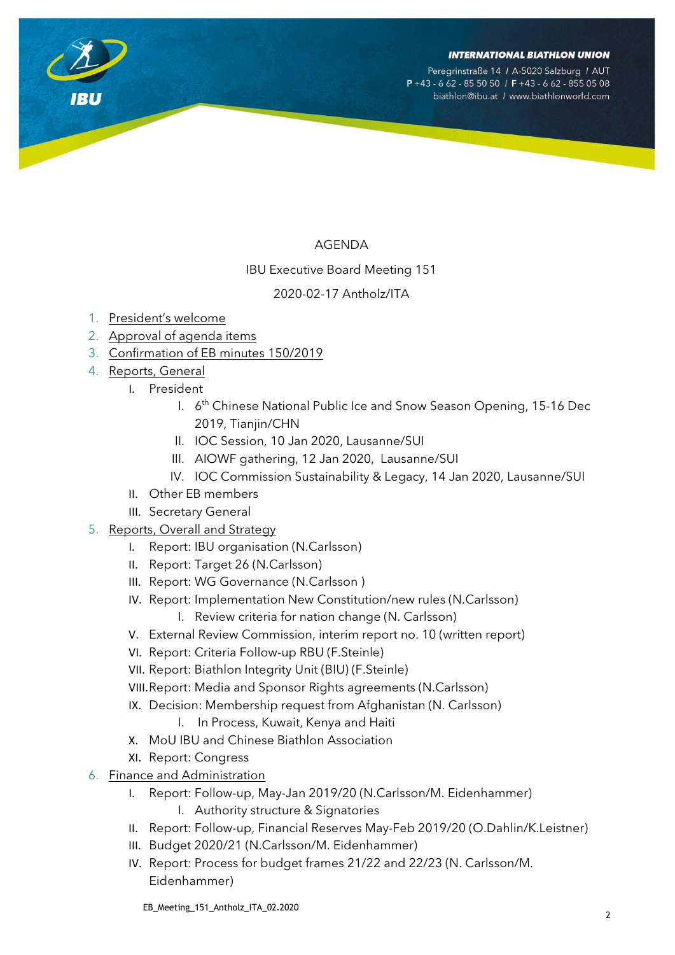Peregrinstraße 14 / A-5020 Salzburg / AUT  $P + 43 - 662 - 855050$  /  $F + 43 - 662 - 8550508$ biathlon@ibu.at / www.biathlonworld.com



# AGENDA

### IBU Executive Board Meeting 151

# 2020-02-17 Antholz/ITA

- 1. President's welcome
- 2. Approval of agenda items
- 3. Confirmation of EB minutes 150/2019
- 4. Reports, General
	- I. President
		- I. 6<sup>th</sup> Chinese National Public Ice and Snow Season Opening, 15-16 Dec 2019, Tianiin/CHN
		- II. IOC Session, 10 Jan 2020, Lausanne/SUI
		- III. AIOWF gathering, 12 Jan 2020, Lausanne/SUI
		- IV. IOC Commission Sustainability & Legacy, 14 Jan 2020, Lausanne/SUI
	- II. Other EB members
	- III. Secretary General
- 5. Reports, Overall and Strategy
	- I. Report: IBU organisation (N.Carlsson)
	- II. Report: Target 26 (N.Carlsson)
	- III. Report: WG Governance (N.Carlsson )
	- IV. Report: Implementation New Constitution/new rules (N.Carlsson)
		- I. Review criteria for nation change (N. Carlsson)
	- V. External Review Commission, interim report no. 10 (written report)
	- VI. Report: Criteria Follow-up RBU (F.Steinle)
	- VII. Report: Biathlon Integrity Unit (BIU) (F.Steinle)
	- VIII.Report: Media and Sponsor Rights agreements (N.Carlsson)
	- IX. Decision: Membership request from Afghanistan (N. Carlsson)
		- I. In Process, Kuwait, Kenya and Haiti
	- X. MoU IBU and Chinese Biathlon Association
	- XI. Report: Congress
- 6. Finance and Administration
	- I. Report: Follow-up, May-Jan 2019/20 (N.Carlsson/M. Eidenhammer)
		- I. Authority structure & Signatories
	- II. Report: Follow-up, Financial Reserves May-Feb 2019/20 (O.Dahlin/K.Leistner)
	- III. Budget 2020/21 (N.Carlsson/M. Eidenhammer)
	- IV. Report: Process for budget frames 21/22 and 22/23 (N. Carlsson/M. Eidenhammer)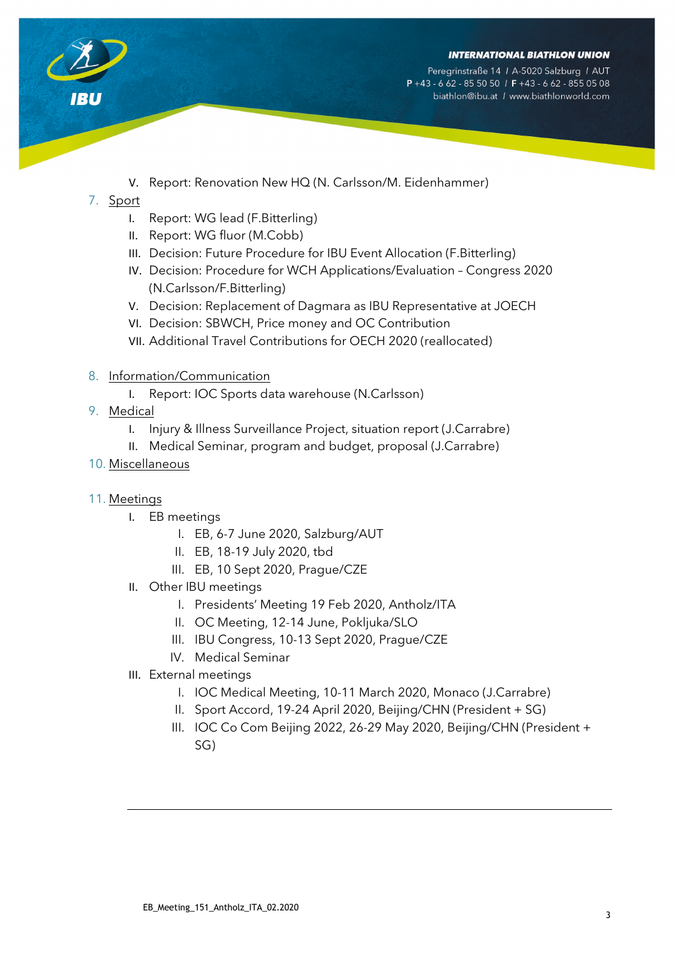Peregrinstraße 14 / A-5020 Salzburg / AUT  $P + 43 - 662 - 855050$  /  $F + 43 - 662 - 8550508$ biathlon@ibu.at / www.biathlonworld.com

- V. Report: Renovation New HQ (N. Carlsson/M. Eidenhammer)
- 7. Sport
	- I. Report: WG lead (F.Bitterling)
	- II. Report: WG fluor (M.Cobb)
	- III. Decision: Future Procedure for IBU Event Allocation (F.Bitterling)
	- IV. Decision: Procedure for WCH Applications/Evaluation Congress 2020 (N.Carlsson/F.Bitterling)
	- V. Decision: Replacement of Dagmara as IBU Representative at JOECH
	- VI. Decision: SBWCH, Price money and OC Contribution
	- VII. Additional Travel Contributions for OECH 2020 (reallocated)
- 8. Information/Communication
	- I. Report: IOC Sports data warehouse (N.Carlsson)
- 9. Medical
	- I. Injury & Illness Surveillance Project, situation report (J.Carrabre)
	- II. Medical Seminar, program and budget, proposal (J.Carrabre)
- 10. Miscellaneous

#### 11. Meetings

- I. EB meetings
	- I. EB, 6-7 June 2020, Salzburg/AUT
	- II. EB, 18-19 July 2020, tbd
	- III. EB, 10 Sept 2020, Prague/CZE
- II. Other IBU meetings
	- I. Presidents' Meeting 19 Feb 2020, Antholz/ITA
	- II. OC Meeting, 12-14 June, Pokljuka/SLO
	- III. IBU Congress, 10-13 Sept 2020, Prague/CZE
	- IV. Medical Seminar
- III. External meetings
	- I. IOC Medical Meeting, 10-11 March 2020, Monaco (J.Carrabre)
	- II. Sport Accord, 19-24 April 2020, Beijing/CHN (President + SG)
	- III. IOC Co Com Beijing 2022, 26-29 May 2020, Beijing/CHN (President + SG)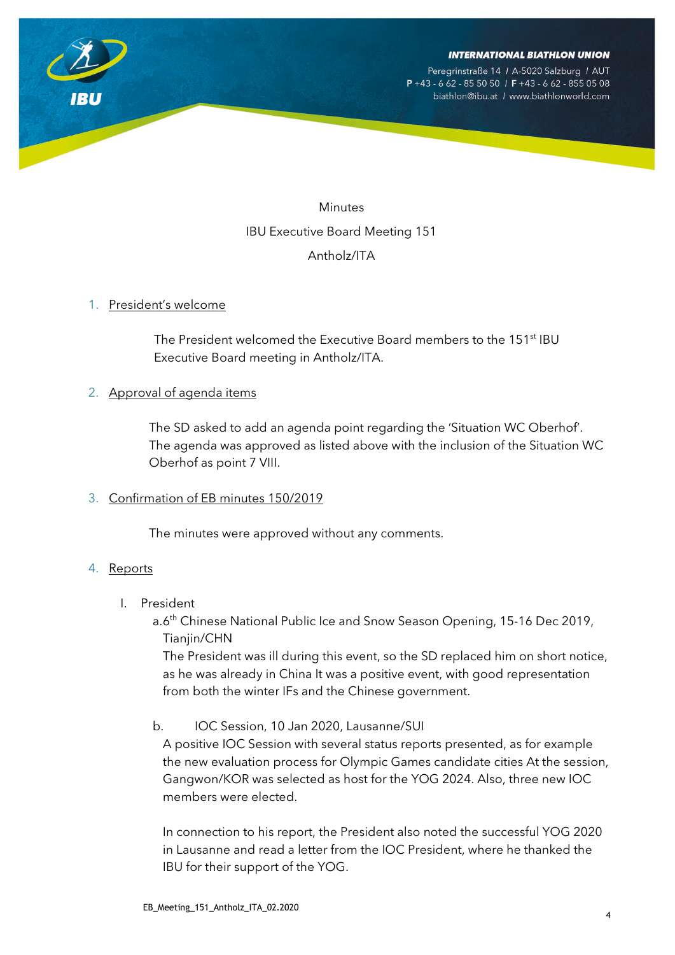Peregrinstraße 14 / A-5020 Salzburg / AUT  $P + 43 - 662 - 855050$  / F + 43 - 662 - 855 05 08 biathlon@ibu.at / www.biathlonworld.com

**Minutes** IBU Executive Board Meeting 151

# Antholz/ITA

### 1. President's welcome

The President welcomed the Executive Board members to the 151<sup>st</sup> IBU Executive Board meeting in Antholz/ITA.

# 2. Approval of agenda items

The SD asked to add an agenda point regarding the 'Situation WC Oberhof'. The agenda was approved as listed above with the inclusion of the Situation WC Oberhof as point 7 VIII.

### 3. Confirmation of EB minutes 150/2019

The minutes were approved without any comments.

### 4. Reports

### I. President

a.6<sup>th</sup> Chinese National Public Ice and Snow Season Opening, 15-16 Dec 2019, Tianjin/CHN

The President was ill during this event, so the SD replaced him on short notice, as he was already in China It was a positive event, with good representation from both the winter IFs and the Chinese government.

### b. IOC Session, 10 Jan 2020, Lausanne/SUI

A positive IOC Session with several status reports presented, as for example the new evaluation process for Olympic Games candidate cities At the session, Gangwon/KOR was selected as host for the YOG 2024. Also, three new IOC members were elected.

In connection to his report, the President also noted the successful YOG 2020 in Lausanne and read a letter from the IOC President, where he thanked the IBU for their support of the YOG.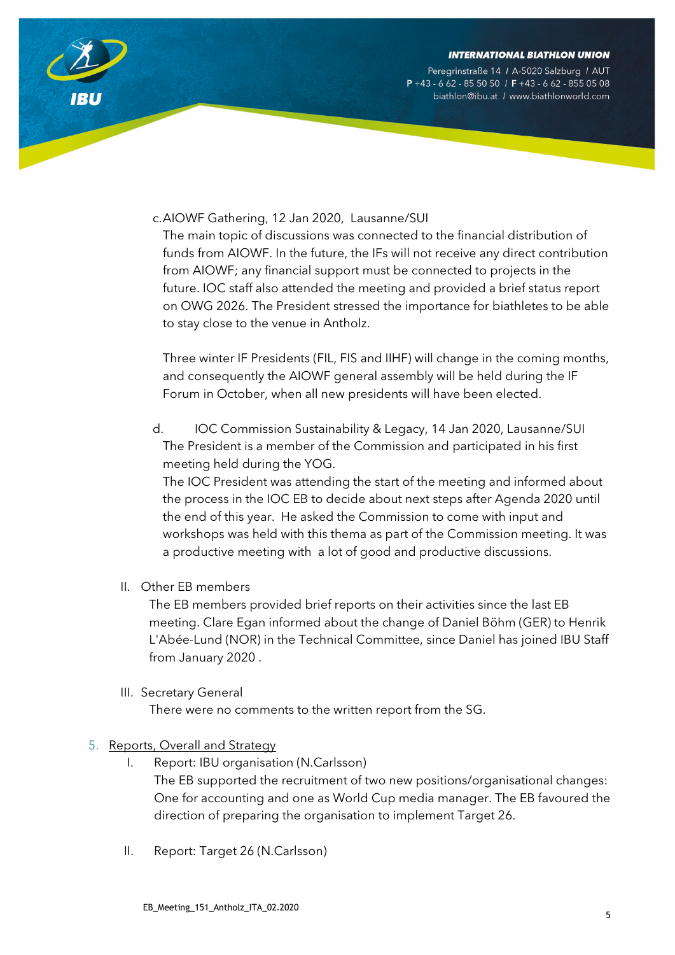Peregrinstraße 14 / A-5020 Salzburg / AUT  $P + 43 - 662 - 855050$  /  $F + 43 - 662 - 8550508$ biathlon@ibu.at / www.biathlonworld.com



# c.AIOWF Gathering, 12 Jan 2020, Lausanne/SUI

The main topic of discussions was connected to the financial distribution of funds from AIOWF. In the future, the IFs will not receive any direct contribution from AIOWF; any financial support must be connected to projects in the future. IOC staff also attended the meeting and provided a brief status report on OWG 2026. The President stressed the importance for biathletes to be able to stay close to the venue in Antholz.

Three winter IF Presidents (FIL, FIS and IIHF) will change in the coming months, and consequently the AIOWF general assembly will be held during the IF Forum in October, when all new presidents will have been elected.

d. IOC Commission Sustainability & Legacy, 14 Jan 2020, Lausanne/SUI The President is a member of the Commission and participated in his first meeting held during the YOG.

The IOC President was attending the start of the meeting and informed about the process in the IOC EB to decide about next steps after Agenda 2020 until the end of this year. He asked the Commission to come with input and workshops was held with this thema as part of the Commission meeting. It was a productive meeting with a lot of good and productive discussions.

II. Other EB members

The EB members provided brief reports on their activities since the last EB meeting. Clare Egan informed about the change of Daniel Böhm (GER) to Henrik L'Abée-Lund (NOR) in the Technical Committee, since Daniel has joined IBU Staff from January 2020 .

III. Secretary General

There were no comments to the written report from the SG.

- 5. Reports, Overall and Strategy
	- I. Report: IBU organisation (N.Carlsson) The EB supported the recruitment of two new positions/organisational changes: One for accounting and one as World Cup media manager. The EB favoured the direction of preparing the organisation to implement Target 26.
	- II. Report: Target 26 (N.Carlsson)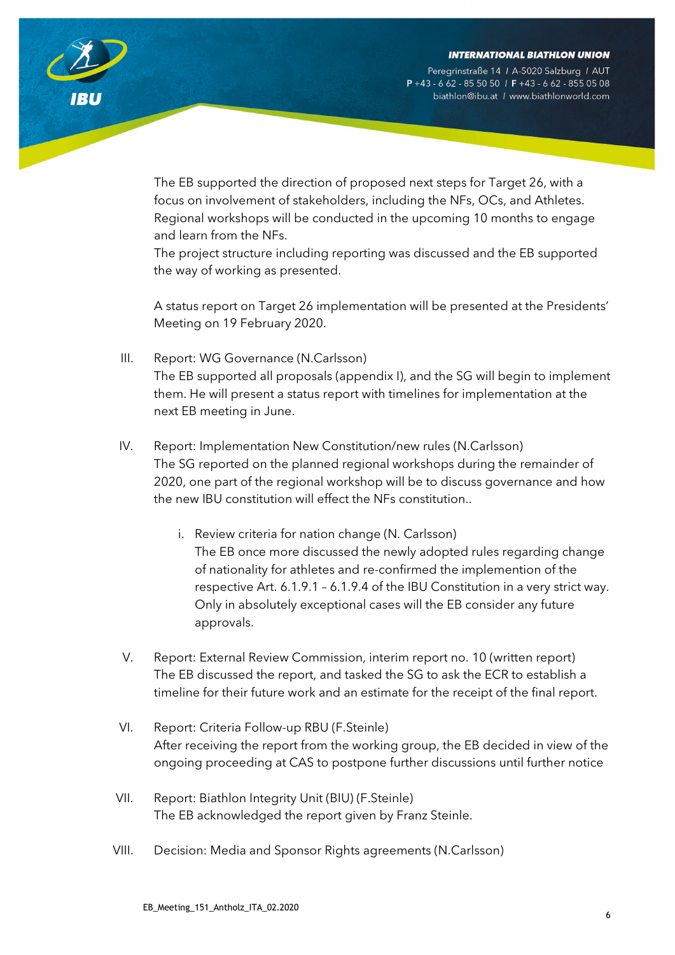Peregrinstraße 14 / A-5020 Salzburg / AUT  $P + 43 - 662 - 855050$  / F + 43 - 662 - 855 05 08 biathlon@ibu.at / www.biathlonworld.com



The EB supported the direction of proposed next steps for Target 26, with a focus on involvement of stakeholders, including the NFs, OCs, and Athletes. Regional workshops will be conducted in the upcoming 10 months to engage and learn from the NFs.

The project structure including reporting was discussed and the EB supported the way of working as presented.

A status report on Target 26 implementation will be presented at the Presidents' Meeting on 19 February 2020.

III. Report: WG Governance (N.Carlsson)

The EB supported all proposals (appendix I), and the SG will begin to implement them. He will present a status report with timelines for implementation at the next EB meeting in June.

- IV. Report: Implementation New Constitution/new rules (N.Carlsson) The SG reported on the planned regional workshops during the remainder of 2020, one part of the regional workshop will be to discuss governance and how the new IBU constitution will effect the NFs constitution..
	- i. Review criteria for nation change (N. Carlsson) The EB once more discussed the newly adopted rules regarding change of nationality for athletes and re-confirmed the implemention of the respective Art. 6.1.9.1 – 6.1.9.4 of the IBU Constitution in a very strict way. Only in absolutely exceptional cases will the EB consider any future approvals.
- V. Report: External Review Commission, interim report no. 10 (written report) The EB discussed the report, and tasked the SG to ask the ECR to establish a timeline for their future work and an estimate for the receipt of the final report.
- VI. Report: Criteria Follow-up RBU (F.Steinle) After receiving the report from the working group, the EB decided in view of the ongoing proceeding at CAS to postpone further discussions until further notice
- VII. Report: Biathlon Integrity Unit (BIU) (F.Steinle) The EB acknowledged the report given by Franz Steinle.
- VIII. Decision: Media and Sponsor Rights agreements (N.Carlsson)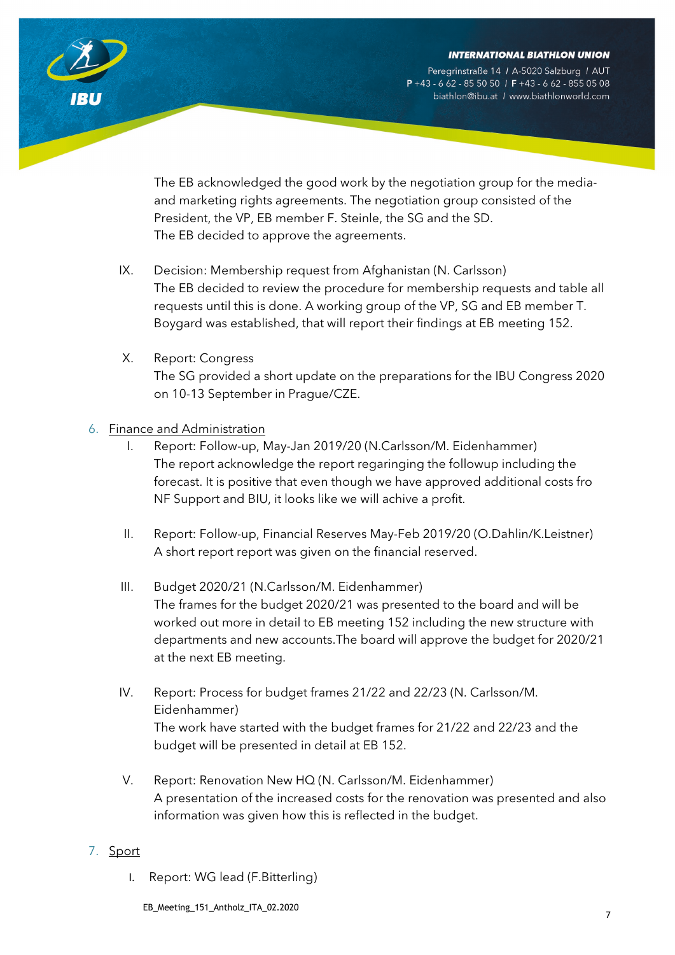Peregrinstraße 14 / A-5020 Salzburg / AUT  $P + 43 - 662 - 855050$  /  $F + 43 - 662 - 8550508$ biathlon@ibu.at / www.biathlonworld.com



The EB acknowledged the good work by the negotiation group for the mediaand marketing rights agreements. The negotiation group consisted of the President, the VP, EB member F. Steinle, the SG and the SD. The EB decided to approve the agreements.

- IX. Decision: Membership request from Afghanistan (N. Carlsson) The EB decided to review the procedure for membership requests and table all requests until this is done. A working group of the VP, SG and EB member T. Boygard was established, that will report their findings at EB meeting 152.
- X. Report: Congress The SG provided a short update on the preparations for the IBU Congress 2020 on 10-13 September in Prague/CZE.
- 6. Finance and Administration
	- I. Report: Follow-up, May-Jan 2019/20 (N.Carlsson/M. Eidenhammer) The report acknowledge the report regaringing the followup including the forecast. It is positive that even though we have approved additional costs fro NF Support and BIU, it looks like we will achive a profit.
	- II. Report: Follow-up, Financial Reserves May-Feb 2019/20 (O.Dahlin/K.Leistner) A short report report was given on the financial reserved.
	- III. Budget 2020/21 (N.Carlsson/M. Eidenhammer) The frames for the budget 2020/21 was presented to the board and will be worked out more in detail to EB meeting 152 including the new structure with departments and new accounts.The board will approve the budget for 2020/21 at the next EB meeting.
	- IV. Report: Process for budget frames 21/22 and 22/23 (N. Carlsson/M. Eidenhammer) The work have started with the budget frames for 21/22 and 22/23 and the budget will be presented in detail at EB 152.
	- V. Report: Renovation New HQ (N. Carlsson/M. Eidenhammer) A presentation of the increased costs for the renovation was presented and also information was given how this is reflected in the budget.

# 7. Sport

I. Report: WG lead (F.Bitterling)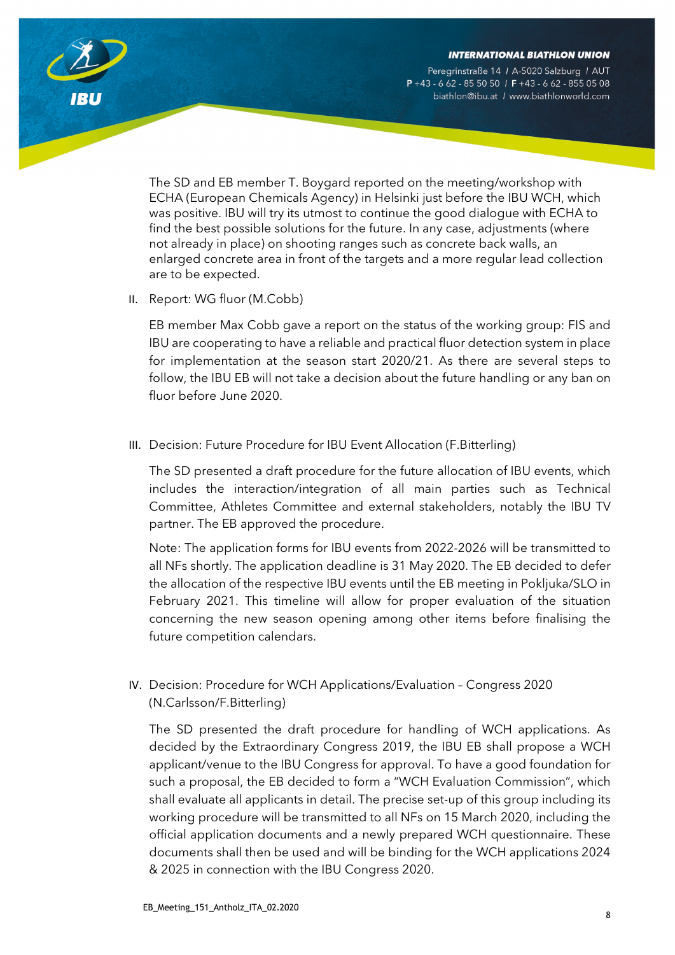Peregrinstraße 14 / A-5020 Salzburg / AUT  $P + 43 - 662 - 855050$  /  $F + 43 - 662 - 8550508$ biathlon@ibu.at / www.biathlonworld.com



The SD and EB member T. Boygard reported on the meeting/workshop with ECHA (European Chemicals Agency) in Helsinki just before the IBU WCH, which was positive. IBU will try its utmost to continue the good dialogue with ECHA to find the best possible solutions for the future. In any case, adjustments (where not already in place) on shooting ranges such as concrete back walls, an enlarged concrete area in front of the targets and a more regular lead collection are to be expected.

II. Report: WG fluor (M.Cobb)

EB member Max Cobb gave a report on the status of the working group: FIS and IBU are cooperating to have a reliable and practical fluor detection system in place for implementation at the season start 2020/21. As there are several steps to follow, the IBU EB will not take a decision about the future handling or any ban on fluor before June 2020.

III. Decision: Future Procedure for IBU Event Allocation (F.Bitterling)

The SD presented a draft procedure for the future allocation of IBU events, which includes the interaction/integration of all main parties such as Technical Committee, Athletes Committee and external stakeholders, notably the IBU TV partner. The EB approved the procedure.

Note: The application forms for IBU events from 2022-2026 will be transmitted to all NFs shortly. The application deadline is 31 May 2020. The EB decided to defer the allocation of the respective IBU events until the EB meeting in Pokljuka/SLO in February 2021. This timeline will allow for proper evaluation of the situation concerning the new season opening among other items before finalising the future competition calendars.

IV. Decision: Procedure for WCH Applications/Evaluation – Congress 2020 (N.Carlsson/F.Bitterling)

The SD presented the draft procedure for handling of WCH applications. As decided by the Extraordinary Congress 2019, the IBU EB shall propose a WCH applicant/venue to the IBU Congress for approval. To have a good foundation for such a proposal, the EB decided to form a "WCH Evaluation Commission", which shall evaluate all applicants in detail. The precise set-up of this group including its working procedure will be transmitted to all NFs on 15 March 2020, including the official application documents and a newly prepared WCH questionnaire. These documents shall then be used and will be binding for the WCH applications 2024 & 2025 in connection with the IBU Congress 2020.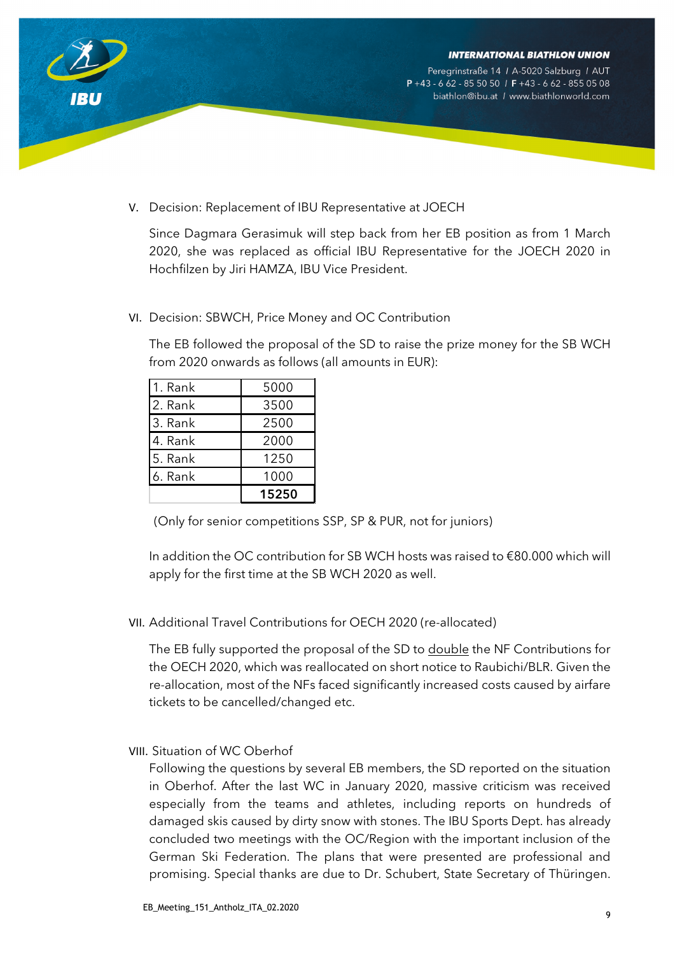

V. Decision: Replacement of IBU Representative at JOECH

Since Dagmara Gerasimuk will step back from her EB position as from 1 March 2020, she was replaced as official IBU Representative for the JOECH 2020 in Hochfilzen by Jiri HAMZA, IBU Vice President.

#### VI. Decision: SBWCH, Price Money and OC Contribution

The EB followed the proposal of the SD to raise the prize money for the SB WCH from 2020 onwards as follows (all amounts in EUR):

|         | 15250 |
|---------|-------|
| 6. Rank | 1000  |
| 5. Rank | 1250  |
| 4. Rank | 2000  |
| 3. Rank | 2500  |
| 2. Rank | 3500  |
| 1. Rank | 5000  |

(Only for senior competitions SSP, SP & PUR, not for juniors)

In addition the OC contribution for SB WCH hosts was raised to €80.000 which will apply for the first time at the SB WCH 2020 as well.

VII. Additional Travel Contributions for OECH 2020 (re-allocated)

The EB fully supported the proposal of the SD to double the NF Contributions for the OECH 2020, which was reallocated on short notice to Raubichi/BLR. Given the re-allocation, most of the NFs faced significantly increased costs caused by airfare tickets to be cancelled/changed etc.

VIII. Situation of WC Oberhof

Following the questions by several EB members, the SD reported on the situation in Oberhof. After the last WC in January 2020, massive criticism was received especially from the teams and athletes, including reports on hundreds of damaged skis caused by dirty snow with stones. The IBU Sports Dept. has already concluded two meetings with the OC/Region with the important inclusion of the German Ski Federation. The plans that were presented are professional and promising. Special thanks are due to Dr. Schubert, State Secretary of Thüringen.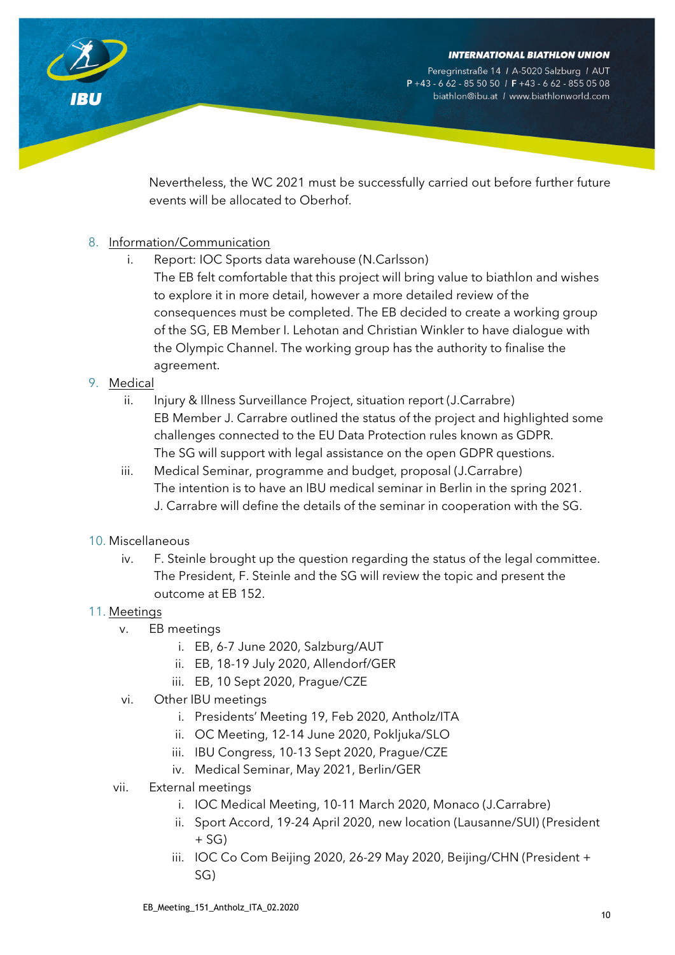Peregrinstraße 14 / A-5020 Salzburg / AUT  $P + 43 - 662 - 855050$  /  $F + 43 - 662 - 8550508$ biathlon@ibu.at / www.biathlonworld.com

Nevertheless, the WC 2021 must be successfully carried out before further future events will be allocated to Oberhof.

# 8. Information/Communication

- i. Report: IOC Sports data warehouse (N.Carlsson)
	- The EB felt comfortable that this project will bring value to biathlon and wishes to explore it in more detail, however a more detailed review of the consequences must be completed. The EB decided to create a working group of the SG, EB Member I. Lehotan and Christian Winkler to have dialogue with the Olympic Channel. The working group has the authority to finalise the agreement.

# 9. Medical

- ii. Injury & Illness Surveillance Project, situation report (J.Carrabre) EB Member J. Carrabre outlined the status of the project and highlighted some challenges connected to the EU Data Protection rules known as GDPR. The SG will support with legal assistance on the open GDPR questions.
- iii. Medical Seminar, programme and budget, proposal (J.Carrabre) The intention is to have an IBU medical seminar in Berlin in the spring 2021. J. Carrabre will define the details of the seminar in cooperation with the SG.

### 10. Miscellaneous

iv. F. Steinle brought up the question regarding the status of the legal committee. The President, F. Steinle and the SG will review the topic and present the outcome at EB 152.

### 11. Meetings

- v. EB meetings
	- i. EB, 6-7 June 2020, Salzburg/AUT
	- ii. EB, 18-19 July 2020, Allendorf/GER
	- iii. EB, 10 Sept 2020, Prague/CZE
- vi. Other IBU meetings
	- i. Presidents' Meeting 19, Feb 2020, Antholz/ITA
	- ii. OC Meeting, 12-14 June 2020, Pokljuka/SLO
	- iii. IBU Congress, 10-13 Sept 2020, Prague/CZE
	- iv. Medical Seminar, May 2021, Berlin/GER
- vii. External meetings
	- i. IOC Medical Meeting, 10-11 March 2020, Monaco (J.Carrabre)
	- ii. Sport Accord, 19-24 April 2020, new location (Lausanne/SUI) (President  $+ S<sub>G</sub>$
	- iii. IOC Co Com Beijing 2020, 26-29 May 2020, Beijing/CHN (President + SG)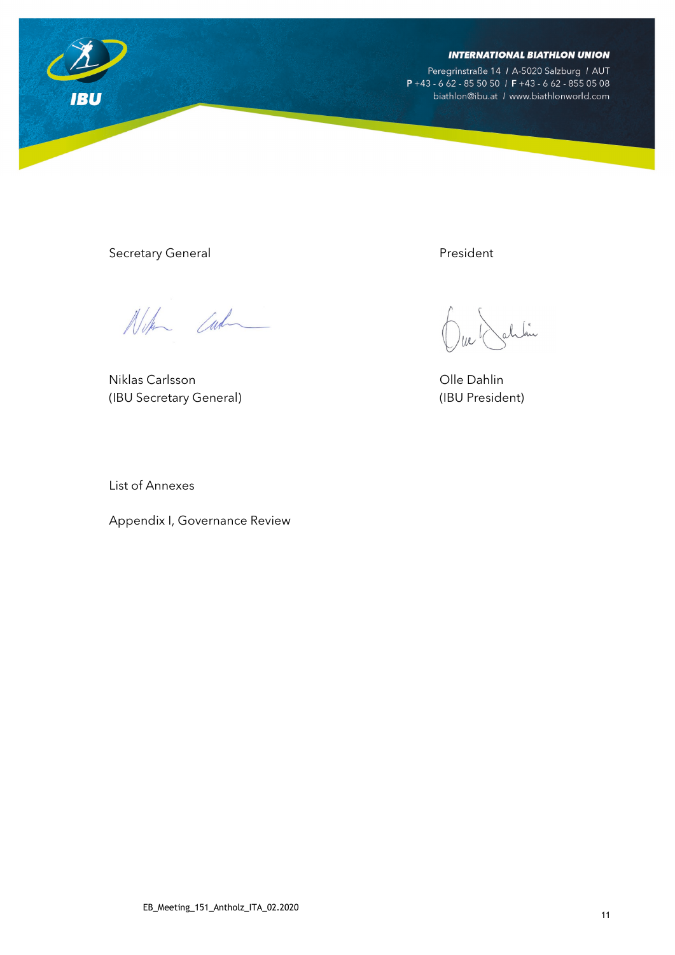

Peregrinstraße 14 / A-5020 Salzburg / AUT  $P + 43 - 662 - 8550501F + 43 - 662 - 8550508$ biathlon@ibu.at / www.biathlonworld.com

Secretary General **President** President

Not Cash

Niklas Carlsson Olle Dahlin (IBU Secretary General) (IBU President)

he

List of Annexes

Appendix I, Governance Review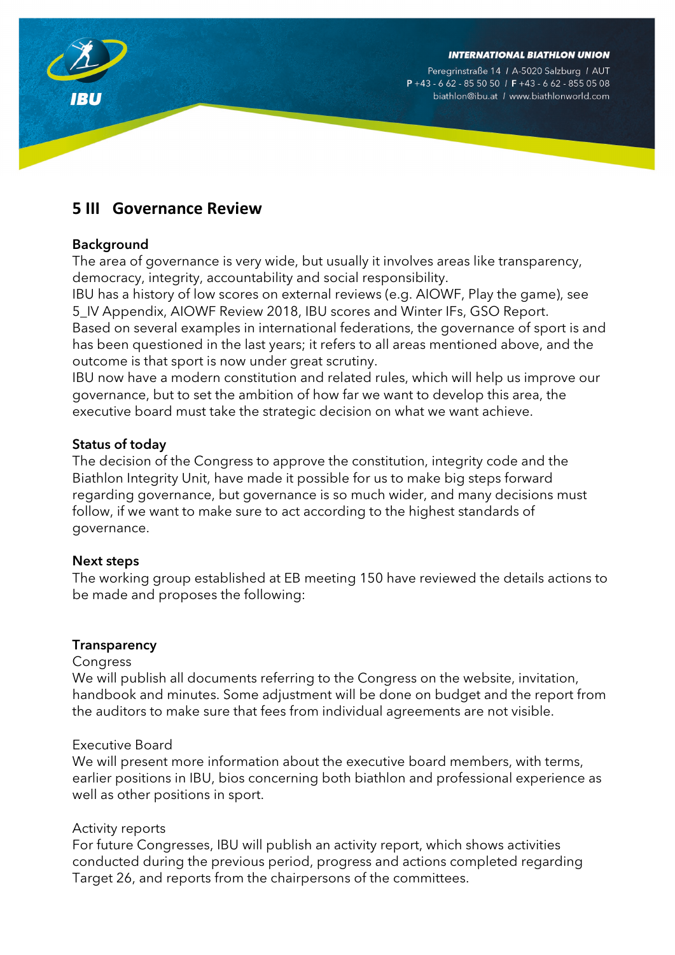

Peregrinstraße 14 / A-5020 Salzburg / AUT  $P + 43 - 662 - 855050$  /  $F + 43 - 662 - 8550508$ biathlon@ibu.at / www.biathlonworld.com

# **5 III Governance Review**

### Background

The area of governance is very wide, but usually it involves areas like transparency, democracy, integrity, accountability and social responsibility.

IBU has a history of low scores on external reviews (e.g. AIOWF, Play the game), see 5\_IV Appendix, AIOWF Review 2018, IBU scores and Winter IFs, GSO Report. Based on several examples in international federations, the governance of sport is and has been questioned in the last years; it refers to all areas mentioned above, and the outcome is that sport is now under great scrutiny.

IBU now have a modern constitution and related rules, which will help us improve our governance, but to set the ambition of how far we want to develop this area, the executive board must take the strategic decision on what we want achieve.

### Status of today

The decision of the Congress to approve the constitution, integrity code and the Biathlon Integrity Unit, have made it possible for us to make big steps forward regarding governance, but governance is so much wider, and many decisions must follow, if we want to make sure to act according to the highest standards of governance.

### Next steps

The working group established at EB meeting 150 have reviewed the details actions to be made and proposes the following:

### **Transparency**

### **Congress**

We will publish all documents referring to the Congress on the website, invitation, handbook and minutes. Some adjustment will be done on budget and the report from the auditors to make sure that fees from individual agreements are not visible.

### Executive Board

We will present more information about the executive board members, with terms, earlier positions in IBU, bios concerning both biathlon and professional experience as well as other positions in sport.

### Activity reports

For future Congresses, IBU will publish an activity report, which shows activities conducted during the previous period, progress and actions completed regarding Target 26, and reports from the chairpersons of the committees.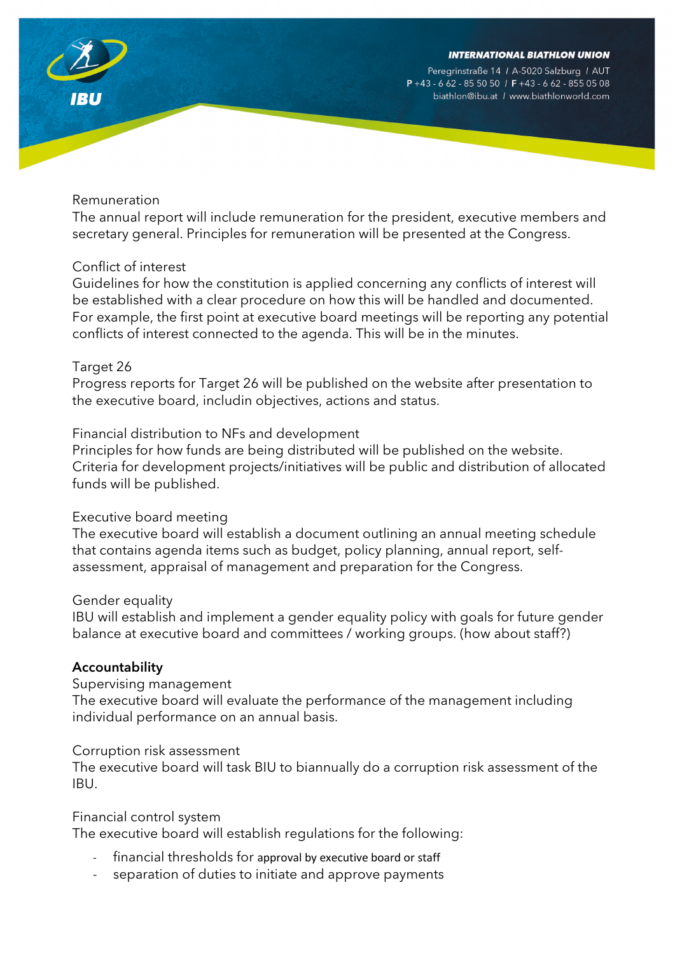Peregrinstraße 14 / A-5020 Salzburg / AUT  $P + 43 - 662 - 855050$  /  $F + 43 - 662 - 8550508$ biathlon@ibu.at / www.biathlonworld.com

#### Remuneration

The annual report will include remuneration for the president, executive members and secretary general. Principles for remuneration will be presented at the Congress.

#### Conflict of interest

Guidelines for how the constitution is applied concerning any conflicts of interest will be established with a clear procedure on how this will be handled and documented. For example, the first point at executive board meetings will be reporting any potential conflicts of interest connected to the agenda. This will be in the minutes.

### Target 26

Progress reports for Target 26 will be published on the website after presentation to the executive board, includin objectives, actions and status.

#### Financial distribution to NFs and development

Principles for how funds are being distributed will be published on the website. Criteria for development projects/initiatives will be public and distribution of allocated funds will be published.

### Executive board meeting

The executive board will establish a document outlining an annual meeting schedule that contains agenda items such as budget, policy planning, annual report, selfassessment, appraisal of management and preparation for the Congress.

### Gender equality

IBU will establish and implement a gender equality policy with goals for future gender balance at executive board and committees / working groups. (how about staff?)

### Accountability

### Supervising management

The executive board will evaluate the performance of the management including individual performance on an annual basis.

#### Corruption risk assessment

The executive board will task BIU to biannually do a corruption risk assessment of the IBU.

#### Financial control system

The executive board will establish regulations for the following:

- financial thresholds for approval by executive board or staff
- separation of duties to initiate and approve payments